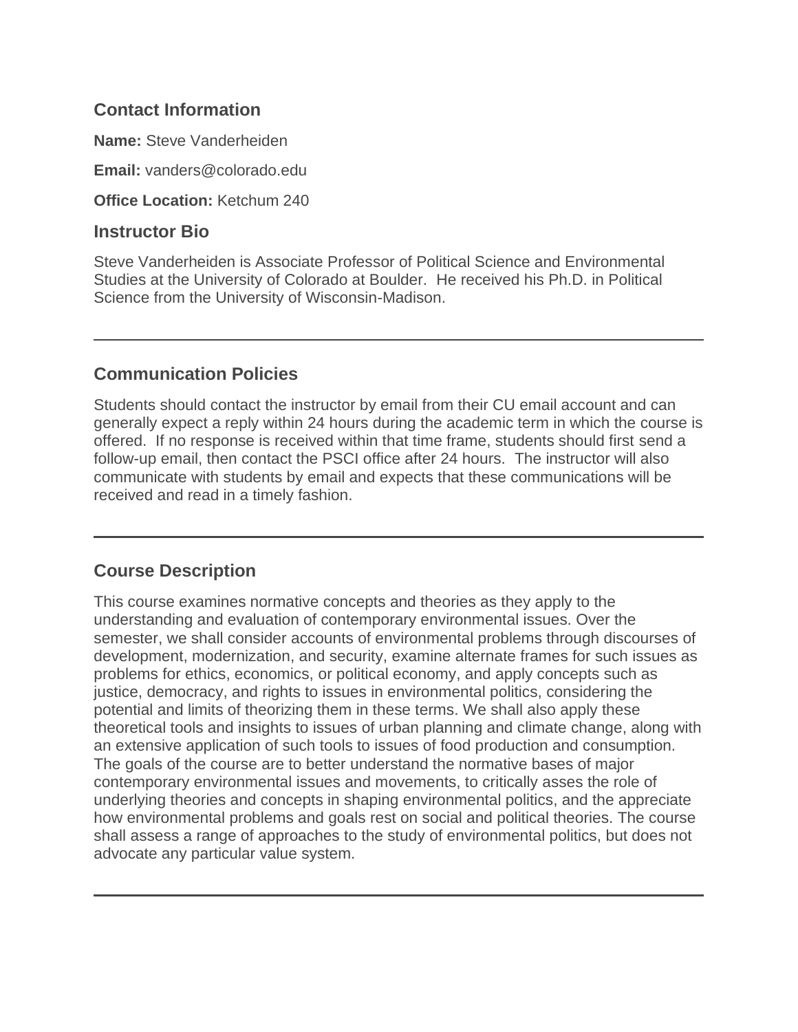#### **Contact Information**

**Name:** Steve Vanderheiden

**Email:** vanders@colorado.edu

**Office Location:** Ketchum 240

#### **Instructor Bio**

Steve Vanderheiden is Associate Professor of Political Science and Environmental Studies at the University of Colorado at Boulder. He received his Ph.D. in Political Science from the University of Wisconsin-Madison.

#### **Communication Policies**

Students should contact the instructor by email from their CU email account and can generally expect a reply within 24 hours during the academic term in which the course is offered. If no response is received within that time frame, students should first send a follow-up email, then contact the PSCI office after 24 hours. The instructor will also communicate with students by email and expects that these communications will be received and read in a timely fashion.

#### **Course Description**

This course examines normative concepts and theories as they apply to the understanding and evaluation of contemporary environmental issues. Over the semester, we shall consider accounts of environmental problems through discourses of development, modernization, and security, examine alternate frames for such issues as problems for ethics, economics, or political economy, and apply concepts such as justice, democracy, and rights to issues in environmental politics, considering the potential and limits of theorizing them in these terms. We shall also apply these theoretical tools and insights to issues of urban planning and climate change, along with an extensive application of such tools to issues of food production and consumption. The goals of the course are to better understand the normative bases of major contemporary environmental issues and movements, to critically asses the role of underlying theories and concepts in shaping environmental politics, and the appreciate how environmental problems and goals rest on social and political theories. The course shall assess a range of approaches to the study of environmental politics, but does not advocate any particular value system.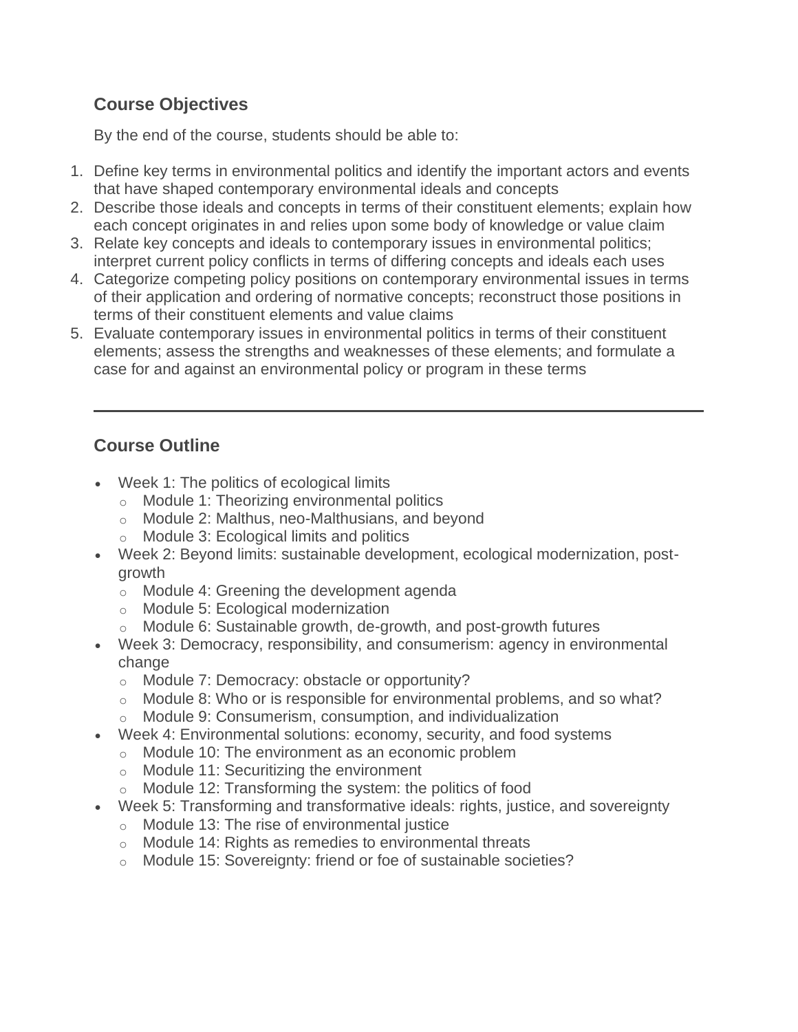## **Course Objectives**

By the end of the course, students should be able to:

- 1. Define key terms in environmental politics and identify the important actors and events that have shaped contemporary environmental ideals and concepts
- 2. Describe those ideals and concepts in terms of their constituent elements; explain how each concept originates in and relies upon some body of knowledge or value claim
- 3. Relate key concepts and ideals to contemporary issues in environmental politics; interpret current policy conflicts in terms of differing concepts and ideals each uses
- 4. Categorize competing policy positions on contemporary environmental issues in terms of their application and ordering of normative concepts; reconstruct those positions in terms of their constituent elements and value claims
- 5. Evaluate contemporary issues in environmental politics in terms of their constituent elements; assess the strengths and weaknesses of these elements; and formulate a case for and against an environmental policy or program in these terms

# **Course Outline**

- Week 1: The politics of ecological limits
	- o Module 1: Theorizing environmental politics
	- o Module 2: Malthus, neo-Malthusians, and beyond
	- o Module 3: Ecological limits and politics
- Week 2: Beyond limits: sustainable development, ecological modernization, postgrowth
	- o Module 4: Greening the development agenda
	- o Module 5: Ecological modernization
	- o Module 6: Sustainable growth, de-growth, and post-growth futures
- Week 3: Democracy, responsibility, and consumerism: agency in environmental change
	- o Module 7: Democracy: obstacle or opportunity?
	- $\circ$  Module 8: Who or is responsible for environmental problems, and so what?
	- o Module 9: Consumerism, consumption, and individualization
- Week 4: Environmental solutions: economy, security, and food systems
	- o Module 10: The environment as an economic problem
	- o Module 11: Securitizing the environment
	- o Module 12: Transforming the system: the politics of food
- Week 5: Transforming and transformative ideals: rights, justice, and sovereignty
	- o Module 13: The rise of environmental justice
	- o Module 14: Rights as remedies to environmental threats
	- o Module 15: Sovereignty: friend or foe of sustainable societies?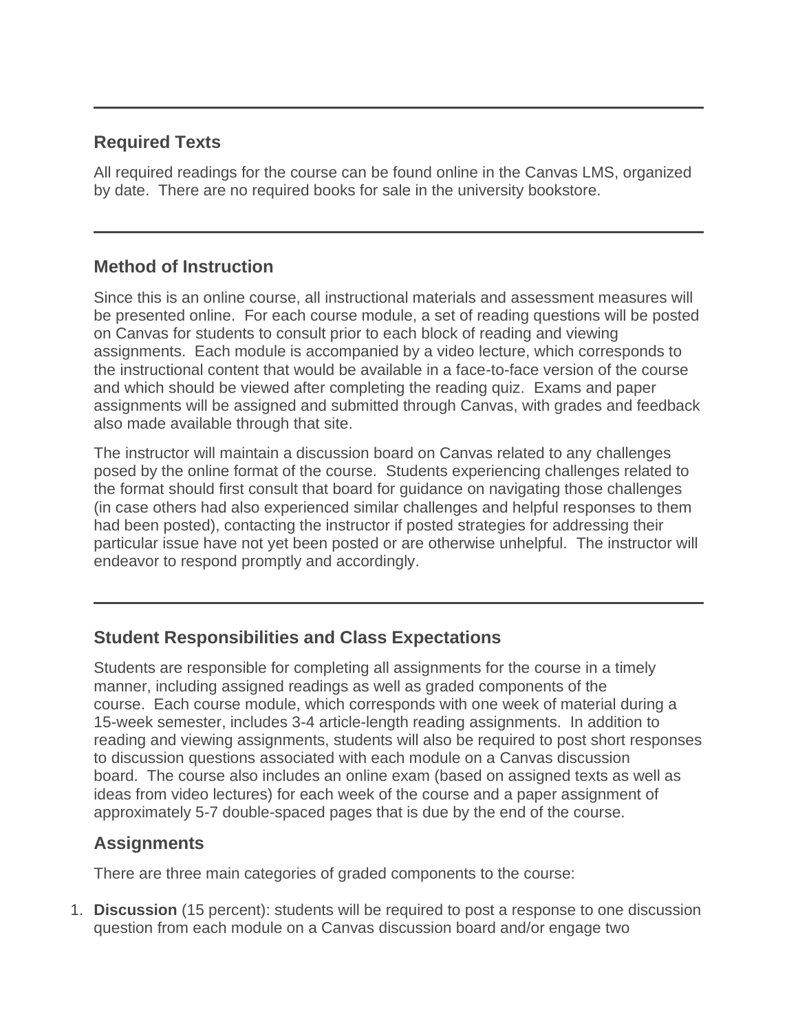#### **Required Texts**

All required readings for the course can be found online in the Canvas LMS, organized by date. There are no required books for sale in the university bookstore.

#### **Method of Instruction**

Since this is an online course, all instructional materials and assessment measures will be presented online. For each course module, a set of reading questions will be posted on Canvas for students to consult prior to each block of reading and viewing assignments. Each module is accompanied by a video lecture, which corresponds to the instructional content that would be available in a face-to-face version of the course and which should be viewed after completing the reading quiz. Exams and paper assignments will be assigned and submitted through Canvas, with grades and feedback also made available through that site.

The instructor will maintain a discussion board on Canvas related to any challenges posed by the online format of the course. Students experiencing challenges related to the format should first consult that board for guidance on navigating those challenges (in case others had also experienced similar challenges and helpful responses to them had been posted), contacting the instructor if posted strategies for addressing their particular issue have not yet been posted or are otherwise unhelpful. The instructor will endeavor to respond promptly and accordingly.

## **Student Responsibilities and Class Expectations**

Students are responsible for completing all assignments for the course in a timely manner, including assigned readings as well as graded components of the course. Each course module, which corresponds with one week of material during a 15-week semester, includes 3-4 article-length reading assignments. In addition to reading and viewing assignments, students will also be required to post short responses to discussion questions associated with each module on a Canvas discussion board. The course also includes an online exam (based on assigned texts as well as ideas from video lectures) for each week of the course and a paper assignment of approximately 5-7 double-spaced pages that is due by the end of the course.

## **Assignments**

There are three main categories of graded components to the course:

1. **Discussion** (15 percent): students will be required to post a response to one discussion question from each module on a Canvas discussion board and/or engage two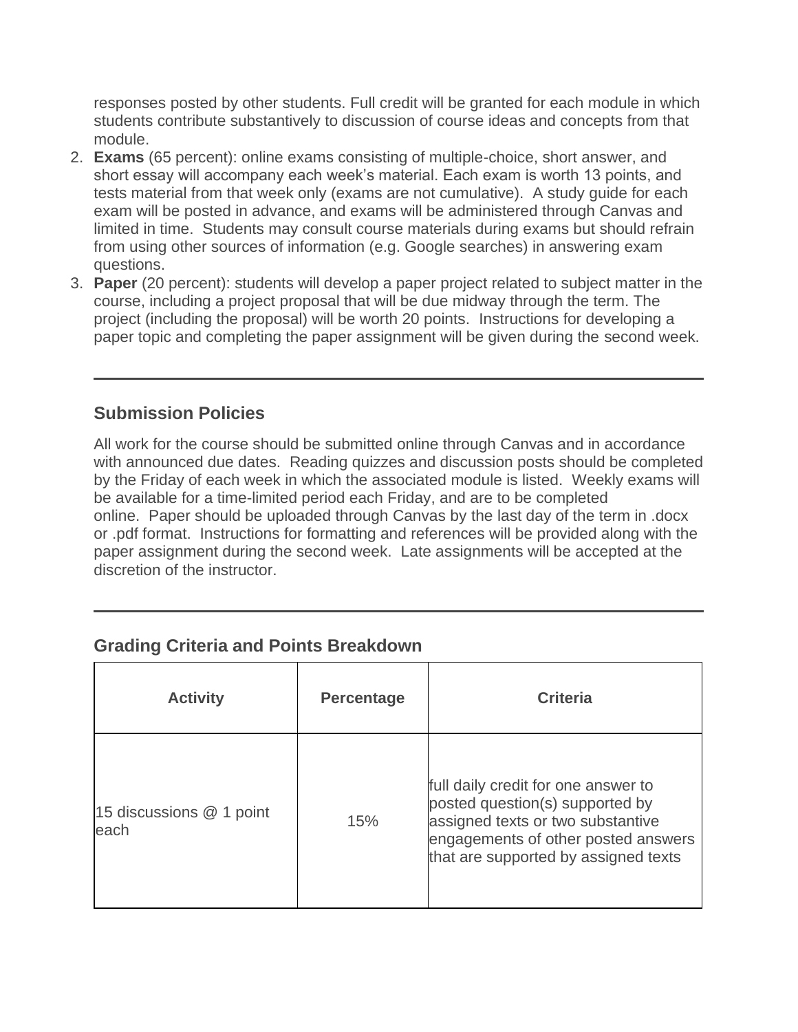responses posted by other students. Full credit will be granted for each module in which students contribute substantively to discussion of course ideas and concepts from that module.

- 2. **Exams** (65 percent): online exams consisting of multiple-choice, short answer, and short essay will accompany each week's material. Each exam is worth 13 points, and tests material from that week only (exams are not cumulative). A study guide for each exam will be posted in advance, and exams will be administered through Canvas and limited in time. Students may consult course materials during exams but should refrain from using other sources of information (e.g. Google searches) in answering exam questions.
- 3. **Paper** (20 percent): students will develop a paper project related to subject matter in the course, including a project proposal that will be due midway through the term. The project (including the proposal) will be worth 20 points. Instructions for developing a paper topic and completing the paper assignment will be given during the second week.

## **Submission Policies**

All work for the course should be submitted online through Canvas and in accordance with announced due dates. Reading quizzes and discussion posts should be completed by the Friday of each week in which the associated module is listed. Weekly exams will be available for a time-limited period each Friday, and are to be completed online. Paper should be uploaded through Canvas by the last day of the term in .docx or .pdf format. Instructions for formatting and references will be provided along with the paper assignment during the second week. Late assignments will be accepted at the discretion of the instructor.

#### **Grading Criteria and Points Breakdown**

| <b>Activity</b>                    | <b>Percentage</b> | <b>Criteria</b>                                                                                                                                                                            |  |  |  |  |  |
|------------------------------------|-------------------|--------------------------------------------------------------------------------------------------------------------------------------------------------------------------------------------|--|--|--|--|--|
| 15 discussions $@$ 1 point<br>each | 15%               | full daily credit for one answer to<br>posted question(s) supported by<br>assigned texts or two substantive<br>engagements of other posted answers<br>that are supported by assigned texts |  |  |  |  |  |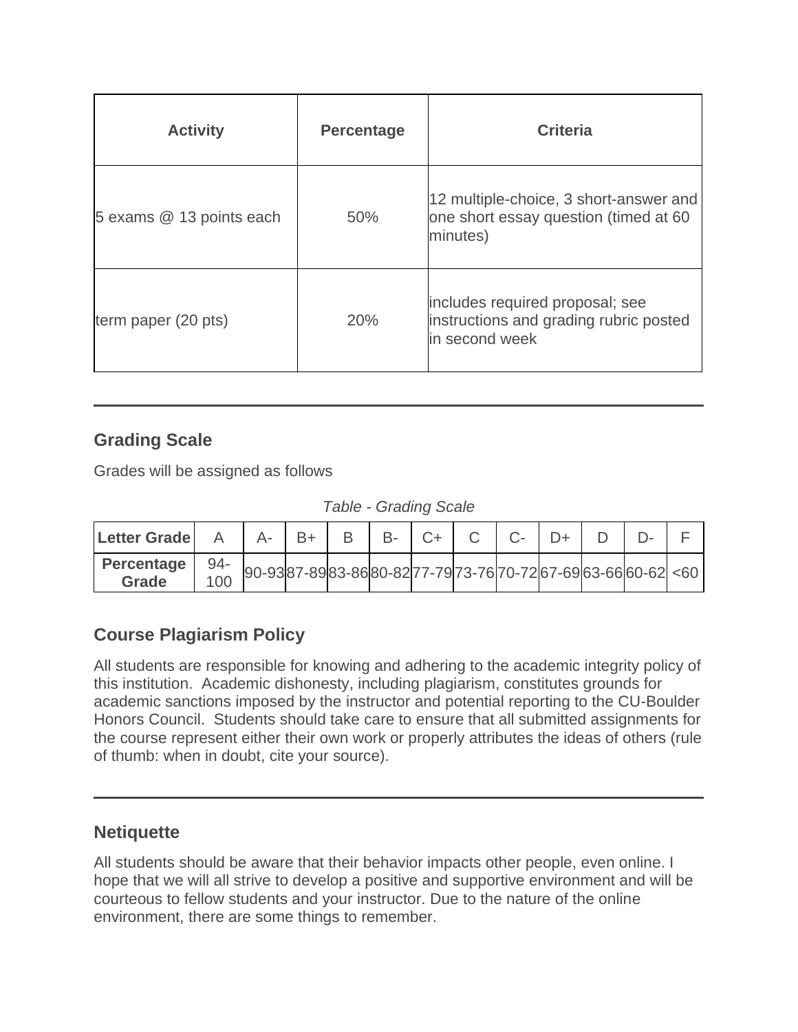| <b>Activity</b>          | <b>Percentage</b> | <b>Criteria</b>                                                                             |  |  |  |  |
|--------------------------|-------------------|---------------------------------------------------------------------------------------------|--|--|--|--|
| 5 exams @ 13 points each | 50%               | 12 multiple-choice, 3 short-answer and<br>one short essay question (timed at 60<br>minutes) |  |  |  |  |
| term paper (20 pts)      | 20%               | includes required proposal; see<br>instructions and grading rubric posted<br>in second week |  |  |  |  |

#### **Grading Scale**

Grades will be assigned as follows

*Table - Grading Scale*

| <b>Letter Grade</b>        |            | $A -$                                                    | $ B+ $ |  | $B$ $B$ - $C$ + $C$ | $C$ - | $D+$ |  |  |
|----------------------------|------------|----------------------------------------------------------|--------|--|---------------------|-------|------|--|--|
| Percentage<br><b>Grade</b> | -94<br>100 | $90-9387-8983-8680-8277-7973-7670-7267-6963-6660-62)<60$ |        |  |                     |       |      |  |  |

## **Course Plagiarism Policy**

All students are responsible for knowing and adhering to the academic integrity policy of this institution. Academic dishonesty, including plagiarism, constitutes grounds for academic sanctions imposed by the instructor and potential reporting to the CU-Boulder Honors Council. Students should take care to ensure that all submitted assignments for the course represent either their own work or properly attributes the ideas of others (rule of thumb: when in doubt, cite your source).

#### **Netiquette**

All students should be aware that their behavior impacts other people, even online. I hope that we will all strive to develop a positive and supportive environment and will be courteous to fellow students and your instructor. Due to the nature of the online environment, there are some things to remember.